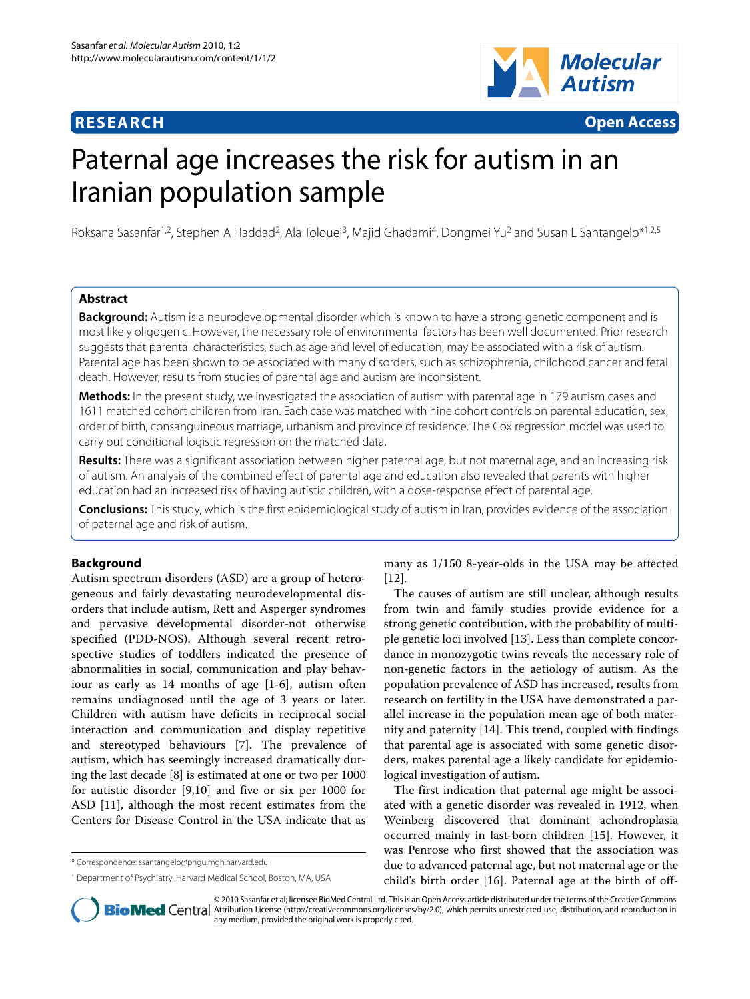

**RESEARCH Open Access**

# Paternal age increases the risk for autism in an Iranian population sample

Roksana Sasanfar<sup>1,2</sup>, Stephen A Haddad<sup>2</sup>, Ala Tolouei<sup>3</sup>, Majid Ghadami<sup>4</sup>, Dongmei Yu<sup>2</sup> and Susan L Santangelo\*1,2,5

#### **Abstract**

**Background:** Autism is a neurodevelopmental disorder which is known to have a strong genetic component and is most likely oligogenic. However, the necessary role of environmental factors has been well documented. Prior research suggests that parental characteristics, such as age and level of education, may be associated with a risk of autism. Parental age has been shown to be associated with many disorders, such as schizophrenia, childhood cancer and fetal death. However, results from studies of parental age and autism are inconsistent.

**Methods:** In the present study, we investigated the association of autism with parental age in 179 autism cases and 1611 matched cohort children from Iran. Each case was matched with nine cohort controls on parental education, sex, order of birth, consanguineous marriage, urbanism and province of residence. The Cox regression model was used to carry out conditional logistic regression on the matched data.

**Results:** There was a significant association between higher paternal age, but not maternal age, and an increasing risk of autism. An analysis of the combined effect of parental age and education also revealed that parents with higher education had an increased risk of having autistic children, with a dose-response effect of parental age.

**Conclusions:** This study, which is the first epidemiological study of autism in Iran, provides evidence of the association of paternal age and risk of autism.

### **Background**

Autism spectrum disorders (ASD) are a group of heterogeneous and fairly devastating neurodevelopmental disorders that include autism, Rett and Asperger syndromes and pervasive developmental disorder-not otherwise specified (PDD-NOS). Although several recent retrospective studies of toddlers indicated the presence of abnormalities in social, communication and play behaviour as early as 14 months of age [\[1](#page-8-0)-[6\]](#page-8-1), autism often remains undiagnosed until the age of 3 years or later. Children with autism have deficits in reciprocal social interaction and communication and display repetitive and stereotyped behaviours [[7\]](#page-8-2). The prevalence of autism, which has seemingly increased dramatically during the last decade [[8\]](#page-8-3) is estimated at one or two per 1000 for autistic disorder [\[9](#page-8-4),[10](#page-8-5)] and five or six per 1000 for ASD [[11\]](#page-8-6), although the most recent estimates from the Centers for Disease Control in the USA indicate that as

\* Correspondence: ssantangelo@pngu.mgh.harvard.edu

many as 1/150 8-year-olds in the USA may be affected [[12\]](#page-8-7).

The causes of autism are still unclear, although results from twin and family studies provide evidence for a strong genetic contribution, with the probability of multiple genetic loci involved [[13](#page-8-8)]. Less than complete concordance in monozygotic twins reveals the necessary role of non-genetic factors in the aetiology of autism. As the population prevalence of ASD has increased, results from research on fertility in the USA have demonstrated a parallel increase in the population mean age of both maternity and paternity [[14\]](#page-8-9). This trend, coupled with findings that parental age is associated with some genetic disorders, makes parental age a likely candidate for epidemiological investigation of autism.

The first indication that paternal age might be associated with a genetic disorder was revealed in 1912, when Weinberg discovered that dominant achondroplasia occurred mainly in last-born children [\[15](#page-8-10)]. However, it was Penrose who first showed that the association was due to advanced paternal age, but not maternal age or the child's birth order [[16\]](#page-8-11). Paternal age at the birth of off-



© 2010 Sasanfar et al; licensee BioMed Central Ltd. This is an Open Access article distributed under the terms of the Creative Commons **BioMed** Central Attribution License (http://creativecommons.org/licenses/by/2.0), which permits unrestricted use, distribution, and reproduction in any medium, provided the original work is properly cited.

<sup>1</sup> Department of Psychiatry, Harvard Medical School, Boston, MA, USA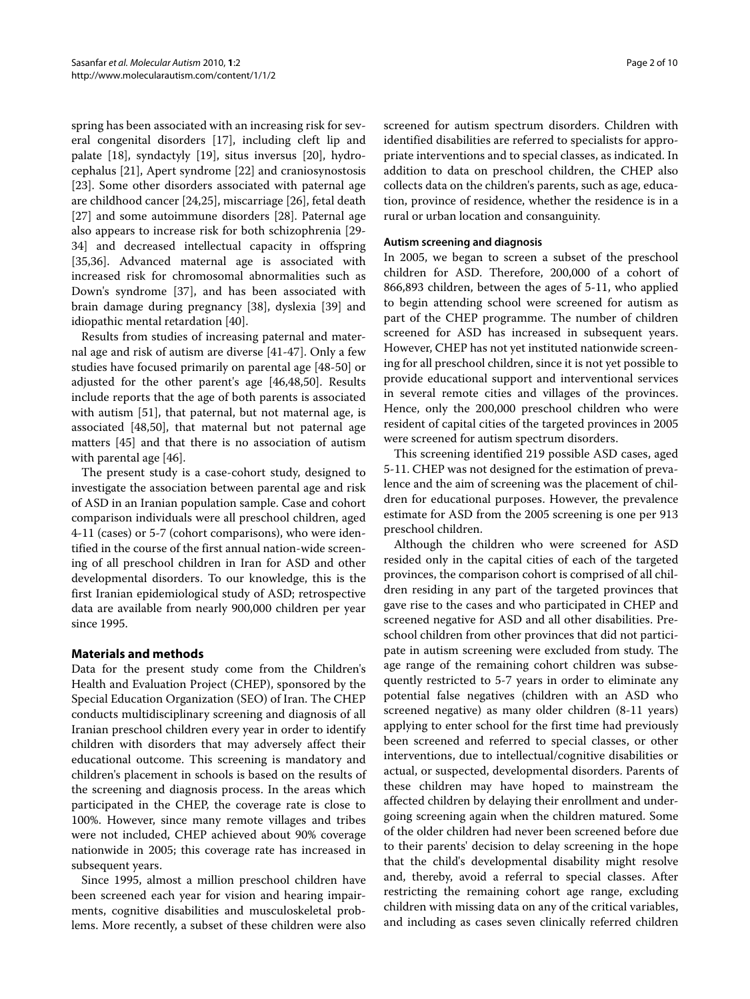spring has been associated with an increasing risk for several congenital disorders [[17\]](#page-8-12), including cleft lip and palate [[18\]](#page-8-13), syndactyly [[19\]](#page-8-14), situs inversus [\[20](#page-8-15)], hydrocephalus [\[21](#page-8-16)], Apert syndrome [\[22](#page-8-17)] and craniosynostosis [[23\]](#page-8-18). Some other disorders associated with paternal age are childhood cancer [[24](#page-8-19),[25\]](#page-8-20), miscarriage [\[26](#page-8-21)], fetal death [[27\]](#page-8-22) and some autoimmune disorders [[28\]](#page-8-23). Paternal age also appears to increase risk for both schizophrenia [\[29-](#page-8-24) [34](#page-9-0)] and decreased intellectual capacity in offspring [[35,](#page-9-1)[36\]](#page-9-2). Advanced maternal age is associated with increased risk for chromosomal abnormalities such as Down's syndrome [[37\]](#page-9-3), and has been associated with brain damage during pregnancy [\[38](#page-9-4)], dyslexia [\[39](#page-9-5)] and idiopathic mental retardation [[40\]](#page-9-6).

Results from studies of increasing paternal and maternal age and risk of autism are diverse [[41-](#page-9-7)[47](#page-9-8)]. Only a few studies have focused primarily on parental age [[48](#page-9-9)[-50\]](#page-9-10) or adjusted for the other parent's age [[46,](#page-9-11)[48,](#page-9-9)[50\]](#page-9-10). Results include reports that the age of both parents is associated with autism [[51](#page-9-12)], that paternal, but not maternal age, is associated [[48,](#page-9-9)[50\]](#page-9-10), that maternal but not paternal age matters [[45\]](#page-9-13) and that there is no association of autism with parental age [\[46](#page-9-11)].

The present study is a case-cohort study, designed to investigate the association between parental age and risk of ASD in an Iranian population sample. Case and cohort comparison individuals were all preschool children, aged 4-11 (cases) or 5-7 (cohort comparisons), who were identified in the course of the first annual nation-wide screening of all preschool children in Iran for ASD and other developmental disorders. To our knowledge, this is the first Iranian epidemiological study of ASD; retrospective data are available from nearly 900,000 children per year since 1995.

#### **Materials and methods**

Data for the present study come from the Children's Health and Evaluation Project (CHEP), sponsored by the Special Education Organization (SEO) of Iran. The CHEP conducts multidisciplinary screening and diagnosis of all Iranian preschool children every year in order to identify children with disorders that may adversely affect their educational outcome. This screening is mandatory and children's placement in schools is based on the results of the screening and diagnosis process. In the areas which participated in the CHEP, the coverage rate is close to 100%. However, since many remote villages and tribes were not included, CHEP achieved about 90% coverage nationwide in 2005; this coverage rate has increased in subsequent years.

Since 1995, almost a million preschool children have been screened each year for vision and hearing impairments, cognitive disabilities and musculoskeletal problems. More recently, a subset of these children were also

screened for autism spectrum disorders. Children with identified disabilities are referred to specialists for appropriate interventions and to special classes, as indicated. In addition to data on preschool children, the CHEP also collects data on the children's parents, such as age, education, province of residence, whether the residence is in a rural or urban location and consanguinity.

#### **Autism screening and diagnosis**

In 2005, we began to screen a subset of the preschool children for ASD. Therefore, 200,000 of a cohort of 866,893 children, between the ages of 5-11, who applied to begin attending school were screened for autism as part of the CHEP programme. The number of children screened for ASD has increased in subsequent years. However, CHEP has not yet instituted nationwide screening for all preschool children, since it is not yet possible to provide educational support and interventional services in several remote cities and villages of the provinces. Hence, only the 200,000 preschool children who were resident of capital cities of the targeted provinces in 2005 were screened for autism spectrum disorders.

This screening identified 219 possible ASD cases, aged 5-11. CHEP was not designed for the estimation of prevalence and the aim of screening was the placement of children for educational purposes. However, the prevalence estimate for ASD from the 2005 screening is one per 913 preschool children.

Although the children who were screened for ASD resided only in the capital cities of each of the targeted provinces, the comparison cohort is comprised of all children residing in any part of the targeted provinces that gave rise to the cases and who participated in CHEP and screened negative for ASD and all other disabilities. Preschool children from other provinces that did not participate in autism screening were excluded from study. The age range of the remaining cohort children was subsequently restricted to 5-7 years in order to eliminate any potential false negatives (children with an ASD who screened negative) as many older children (8-11 years) applying to enter school for the first time had previously been screened and referred to special classes, or other interventions, due to intellectual/cognitive disabilities or actual, or suspected, developmental disorders. Parents of these children may have hoped to mainstream the affected children by delaying their enrollment and undergoing screening again when the children matured. Some of the older children had never been screened before due to their parents' decision to delay screening in the hope that the child's developmental disability might resolve and, thereby, avoid a referral to special classes. After restricting the remaining cohort age range, excluding children with missing data on any of the critical variables, and including as cases seven clinically referred children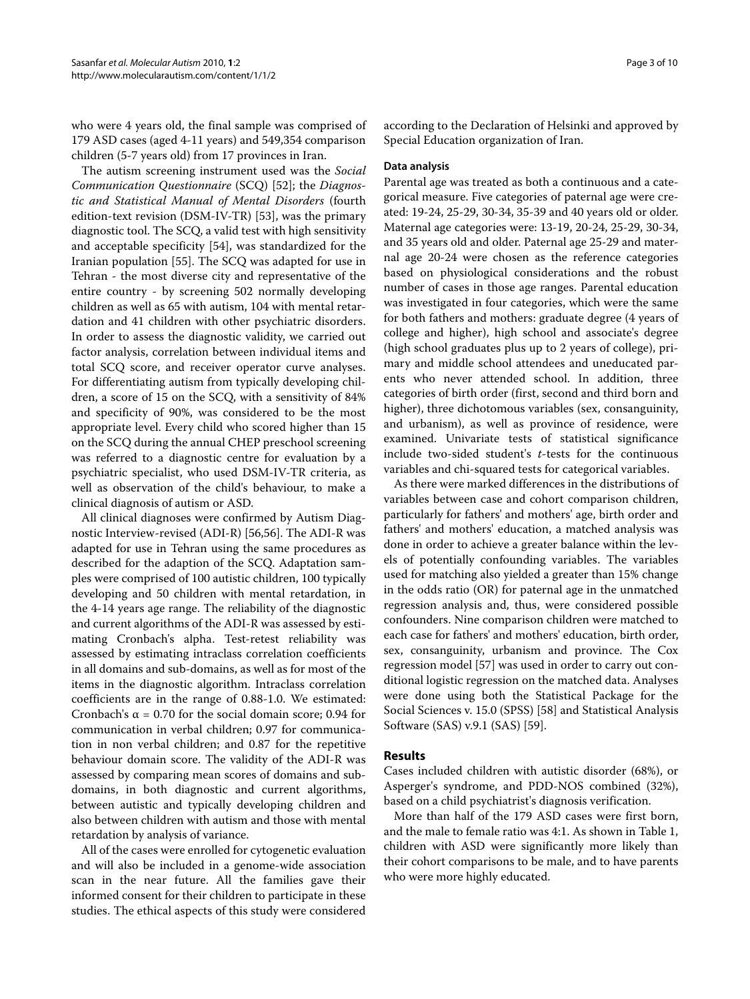who were 4 years old, the final sample was comprised of 179 ASD cases (aged 4-11 years) and 549,354 comparison children (5-7 years old) from 17 provinces in Iran.

The autism screening instrument used was the *Social Communication Questionnaire* (SCQ) [\[52](#page-9-14)]; the *Diagnostic and Statistical Manual of Mental Disorders* (fourth edition-text revision (DSM-IV-TR) [[53\]](#page-9-15), was the primary diagnostic tool. The SCQ, a valid test with high sensitivity and acceptable specificity [\[54\]](#page-9-16), was standardized for the Iranian population [\[55](#page-9-17)]. The SCQ was adapted for use in Tehran - the most diverse city and representative of the entire country - by screening 502 normally developing children as well as 65 with autism, 104 with mental retardation and 41 children with other psychiatric disorders. In order to assess the diagnostic validity, we carried out factor analysis, correlation between individual items and total SCQ score, and receiver operator curve analyses. For differentiating autism from typically developing children, a score of 15 on the SCQ, with a sensitivity of 84% and specificity of 90%, was considered to be the most appropriate level. Every child who scored higher than 15 on the SCQ during the annual CHEP preschool screening was referred to a diagnostic centre for evaluation by a psychiatric specialist, who used DSM-IV-TR criteria, as well as observation of the child's behaviour, to make a clinical diagnosis of autism or ASD.

All clinical diagnoses were confirmed by Autism Diagnostic Interview-revised (ADI-R) [\[56](#page-9-18),[56](#page-9-18)]. The ADI-R was adapted for use in Tehran using the same procedures as described for the adaption of the SCQ. Adaptation samples were comprised of 100 autistic children, 100 typically developing and 50 children with mental retardation, in the 4-14 years age range. The reliability of the diagnostic and current algorithms of the ADI-R was assessed by estimating Cronbach's alpha. Test-retest reliability was assessed by estimating intraclass correlation coefficients in all domains and sub-domains, as well as for most of the items in the diagnostic algorithm. Intraclass correlation coefficients are in the range of 0.88-1.0. We estimated: Cronbach's  $\alpha$  = 0.70 for the social domain score; 0.94 for communication in verbal children; 0.97 for communication in non verbal children; and 0.87 for the repetitive behaviour domain score. The validity of the ADI-R was assessed by comparing mean scores of domains and subdomains, in both diagnostic and current algorithms, between autistic and typically developing children and also between children with autism and those with mental retardation by analysis of variance.

All of the cases were enrolled for cytogenetic evaluation and will also be included in a genome-wide association scan in the near future. All the families gave their informed consent for their children to participate in these studies. The ethical aspects of this study were considered

according to the Declaration of Helsinki and approved by Special Education organization of Iran.

#### **Data analysis**

Parental age was treated as both a continuous and a categorical measure. Five categories of paternal age were created: 19-24, 25-29, 30-34, 35-39 and 40 years old or older. Maternal age categories were: 13-19, 20-24, 25-29, 30-34, and 35 years old and older. Paternal age 25-29 and maternal age 20-24 were chosen as the reference categories based on physiological considerations and the robust number of cases in those age ranges. Parental education was investigated in four categories, which were the same for both fathers and mothers: graduate degree (4 years of college and higher), high school and associate's degree (high school graduates plus up to 2 years of college), primary and middle school attendees and uneducated parents who never attended school. In addition, three categories of birth order (first, second and third born and higher), three dichotomous variables (sex, consanguinity, and urbanism), as well as province of residence, were examined. Univariate tests of statistical significance include two-sided student's *t*-tests for the continuous variables and chi-squared tests for categorical variables.

As there were marked differences in the distributions of variables between case and cohort comparison children, particularly for fathers' and mothers' age, birth order and fathers' and mothers' education, a matched analysis was done in order to achieve a greater balance within the levels of potentially confounding variables. The variables used for matching also yielded a greater than 15% change in the odds ratio (OR) for paternal age in the unmatched regression analysis and, thus, were considered possible confounders. Nine comparison children were matched to each case for fathers' and mothers' education, birth order, sex, consanguinity, urbanism and province. The Cox regression model [\[57](#page-9-19)] was used in order to carry out conditional logistic regression on the matched data. Analyses were done using both the Statistical Package for the Social Sciences v. 15.0 (SPSS) [\[58](#page-9-20)] and Statistical Analysis Software (SAS) v.9.1 (SAS) [[59\]](#page-9-21).

#### **Results**

Cases included children with autistic disorder (68%), or Asperger's syndrome, and PDD-NOS combined (32%), based on a child psychiatrist's diagnosis verification.

More than half of the 179 ASD cases were first born, and the male to female ratio was 4:1. As shown in Table [1](#page-3-0), children with ASD were significantly more likely than their cohort comparisons to be male, and to have parents who were more highly educated.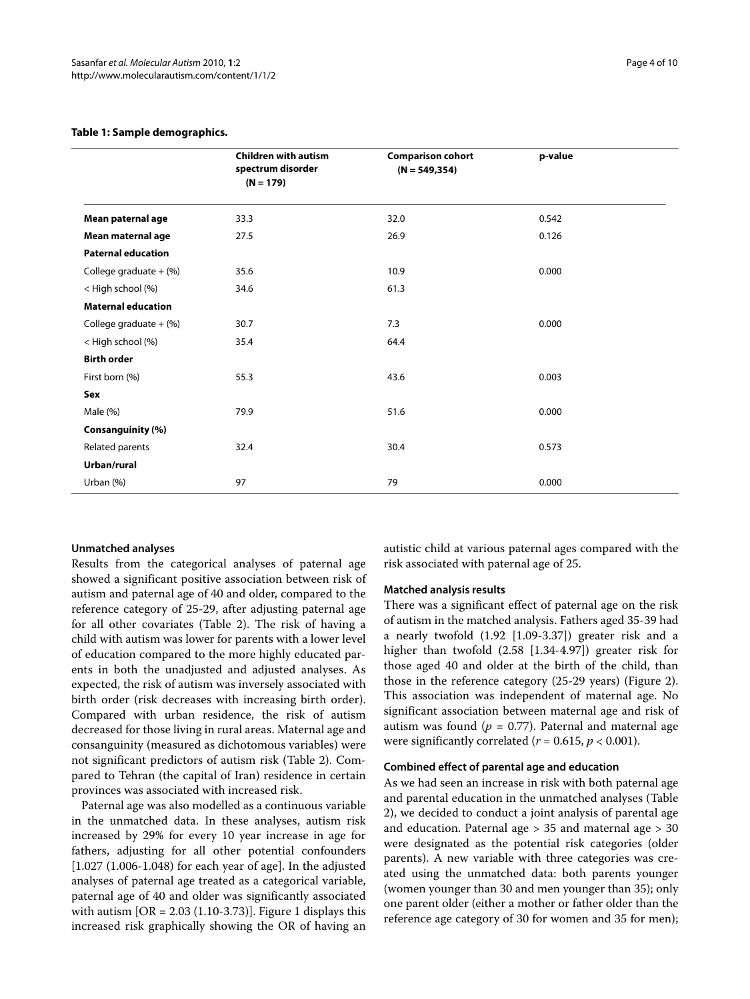#### <span id="page-3-0"></span>**Table 1: Sample demographics.**

|                           | <b>Children with autism</b><br>spectrum disorder<br>$(N = 179)$ | <b>Comparison cohort</b><br>$(N = 549, 354)$ | p-value |  |
|---------------------------|-----------------------------------------------------------------|----------------------------------------------|---------|--|
| Mean paternal age         | 33.3                                                            | 32.0                                         | 0.542   |  |
| Mean maternal age         | 27.5                                                            | 26.9                                         | 0.126   |  |
| <b>Paternal education</b> |                                                                 |                                              |         |  |
| College graduate $+$ (%)  | 35.6                                                            | 10.9                                         | 0.000   |  |
| < High school (%)         | 34.6                                                            | 61.3                                         |         |  |
| <b>Maternal education</b> |                                                                 |                                              |         |  |
| College graduate $+$ (%)  | 30.7                                                            | 7.3                                          | 0.000   |  |
| < High school (%)         | 35.4                                                            | 64.4                                         |         |  |
| <b>Birth order</b>        |                                                                 |                                              |         |  |
| First born (%)            | 55.3                                                            | 43.6                                         | 0.003   |  |
| Sex                       |                                                                 |                                              |         |  |
| Male (%)                  | 79.9                                                            | 51.6                                         | 0.000   |  |
| <b>Consanguinity (%)</b>  |                                                                 |                                              |         |  |
| Related parents           | 32.4                                                            | 30.4                                         | 0.573   |  |
| Urban/rural               |                                                                 |                                              |         |  |
| Urban (%)                 | 97                                                              | 79                                           | 0.000   |  |

#### **Unmatched analyses**

Results from the categorical analyses of paternal age showed a significant positive association between risk of autism and paternal age of 40 and older, compared to the reference category of 25-29, after adjusting paternal age for all other covariates (Table 2). The risk of having a child with autism was lower for parents with a lower level of education compared to the more highly educated parents in both the unadjusted and adjusted analyses. As expected, the risk of autism was inversely associated with birth order (risk decreases with increasing birth order). Compared with urban residence, the risk of autism decreased for those living in rural areas. Maternal age and consanguinity (measured as dichotomous variables) were not significant predictors of autism risk (Table [2](#page-4-0)). Compared to Tehran (the capital of Iran) residence in certain provinces was associated with increased risk.

Paternal age was also modelled as a continuous variable in the unmatched data. In these analyses, autism risk increased by 29% for every 10 year increase in age for fathers, adjusting for all other potential confounders [1.027 (1.006-1.048) for each year of age]. In the adjusted analyses of paternal age treated as a categorical variable, paternal age of 40 and older was significantly associated with autism  $[OR = 2.03 (1.10-3.73)]$ . Figure [1](#page-5-0) displays this increased risk graphically showing the OR of having an autistic child at various paternal ages compared with the risk associated with paternal age of 25.

#### **Matched analysis results**

There was a significant effect of paternal age on the risk of autism in the matched analysis. Fathers aged 35-39 had a nearly twofold (1.92 [1.09-3.37]) greater risk and a higher than twofold (2.58 [1.34-4.97]) greater risk for those aged 40 and older at the birth of the child, than those in the reference category (25-29 years) (Figure [2](#page-5-1)). This association was independent of maternal age. No significant association between maternal age and risk of autism was found ( $p = 0.77$ ). Paternal and maternal age were significantly correlated ( $r = 0.615$ ,  $p < 0.001$ ).

#### **Combined effect of parental age and education**

As we had seen an increase in risk with both paternal age and parental education in the unmatched analyses (Table 2), we decided to conduct a joint analysis of parental age and education. Paternal age > 35 and maternal age > 30 were designated as the potential risk categories (older parents). A new variable with three categories was created using the unmatched data: both parents younger (women younger than 30 and men younger than 35); only one parent older (either a mother or father older than the reference age category of 30 for women and 35 for men);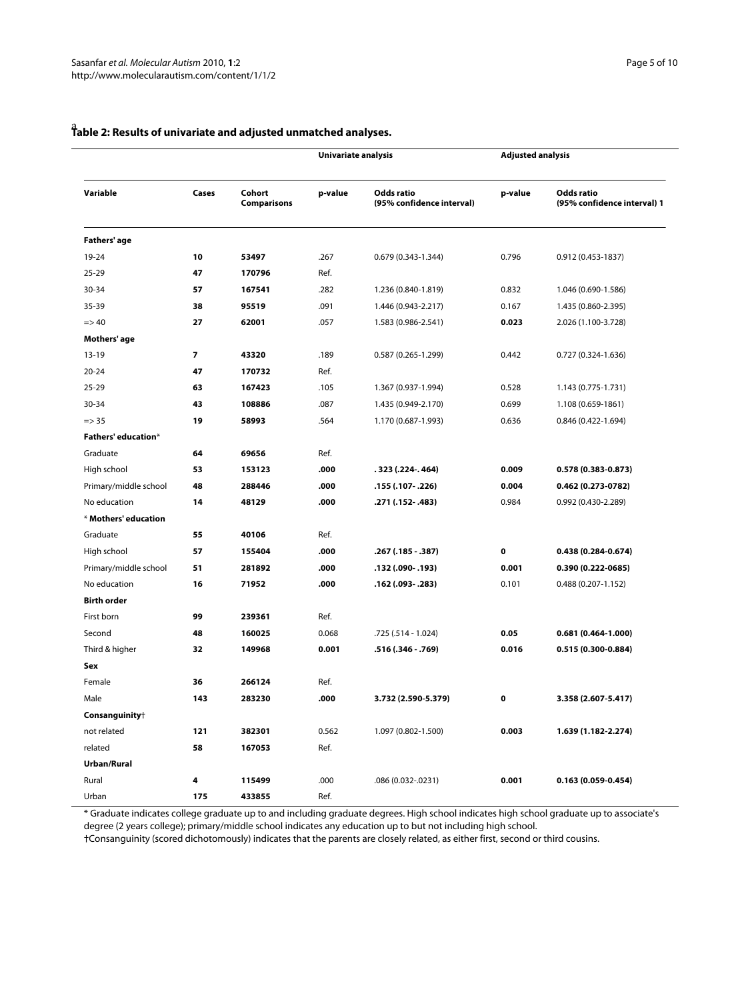| Variable                   | Cases |                              |         | Univariate analysis                     |         | <b>Adjusted analysis</b>                  |  |
|----------------------------|-------|------------------------------|---------|-----------------------------------------|---------|-------------------------------------------|--|
|                            |       | Cohort<br><b>Comparisons</b> | p-value | Odds ratio<br>(95% confidence interval) | p-value | Odds ratio<br>(95% confidence interval) 1 |  |
| Fathers' age               |       |                              |         |                                         |         |                                           |  |
| 19-24                      | 10    | 53497                        | .267    | $0.679(0.343 - 1.344)$                  | 0.796   | 0.912 (0.453-1837)                        |  |
| $25 - 29$                  | 47    | 170796                       | Ref.    |                                         |         |                                           |  |
| 30-34                      | 57    | 167541                       | .282    | 1.236 (0.840-1.819)                     | 0.832   | 1.046 (0.690-1.586)                       |  |
| 35-39                      | 38    | 95519                        | .091    | 1.446 (0.943-2.217)                     | 0.167   | 1.435 (0.860-2.395)                       |  |
| $\Rightarrow$ 40           | 27    | 62001                        | .057    | 1.583 (0.986-2.541)                     | 0.023   | 2.026 (1.100-3.728)                       |  |
| Mothers' age               |       |                              |         |                                         |         |                                           |  |
| $13 - 19$                  | 7     | 43320                        | .189    | 0.587 (0.265-1.299)                     | 0.442   | 0.727 (0.324-1.636)                       |  |
| $20 - 24$                  | 47    | 170732                       | Ref.    |                                         |         |                                           |  |
| 25-29                      | 63    | 167423                       | .105    | 1.367 (0.937-1.994)                     | 0.528   | 1.143 (0.775-1.731)                       |  |
| 30-34                      | 43    | 108886                       | .087    | 1.435 (0.949-2.170)                     | 0.699   | 1.108 (0.659-1861)                        |  |
| $\Rightarrow$ 35           | 19    | 58993                        | .564    | 1.170 (0.687-1.993)                     | 0.636   | 0.846 (0.422-1.694)                       |  |
| Fathers' education*        |       |                              |         |                                         |         |                                           |  |
| Graduate                   | 64    | 69656                        | Ref.    |                                         |         |                                           |  |
| High school                | 53    | 153123                       | .000    | .323 (.224 - . 464)                     | 0.009   | 0.578 (0.383-0.873)                       |  |
| Primary/middle school      | 48    | 288446                       | .000    | .155 (.107- .226)                       | 0.004   | 0.462 (0.273-0782)                        |  |
| No education               | 14    | 48129                        | .000    | .271 (.152- .483)                       | 0.984   | 0.992 (0.430-2.289)                       |  |
| * Mothers' education       |       |                              |         |                                         |         |                                           |  |
| Graduate                   | 55    | 40106                        | Ref.    |                                         |         |                                           |  |
| High school                | 57    | 155404                       | .000    | .267 (.185 - .387)                      | 0       | 0.438 (0.284-0.674)                       |  |
| Primary/middle school      | 51    | 281892                       | .000    | .132 (.090- .193)                       | 0.001   | 0.390 (0.222-0685)                        |  |
| No education               | 16    | 71952                        | .000    | .162 (.093 - .283)                      | 0.101   | $0.488(0.207 - 1.152)$                    |  |
| <b>Birth order</b>         |       |                              |         |                                         |         |                                           |  |
| First born                 | 99    | 239361                       | Ref.    |                                         |         |                                           |  |
| Second                     | 48    | 160025                       | 0.068   | .725 (.514 - 1.024)                     | 0.05    | $0.681(0.464-1.000)$                      |  |
| Third & higher             | 32    | 149968                       | 0.001   | .516 (.346 - .769)                      | 0.016   | 0.515 (0.300-0.884)                       |  |
| Sex                        |       |                              |         |                                         |         |                                           |  |
| Female                     | 36    | 266124                       | Ref.    |                                         |         |                                           |  |
| Male                       | 143   | 283230                       | .000    | 3.732 (2.590-5.379)                     | 0       | 3.358 (2.607-5.417)                       |  |
| Consanguinity <sup>+</sup> |       |                              |         |                                         |         |                                           |  |
| not related                | 121   | 382301                       | 0.562   | 1.097 (0.802-1.500)                     | 0.003   | 1.639 (1.182-2.274)                       |  |
| related                    | 58    | 167053                       | Ref.    |                                         |         |                                           |  |
| Urban/Rural                |       |                              |         |                                         |         |                                           |  |
| Rural                      | 4     | 115499                       | .000    | .086 (0.032-.0231)                      | 0.001   | $0.163(0.059 - 0.454)$                    |  |
| Urban                      | 175   | 433855                       | Ref.    |                                         |         |                                           |  |

## <span id="page-4-0"></span>a **Table 2: Results of univariate and adjusted unmatched analyses.**

\* Graduate indicates college graduate up to and including graduate degrees. High school indicates high school graduate up to associate's degree (2 years college); primary/middle school indicates any education up to but not including high school.

†Consanguinity (scored dichotomously) indicates that the parents are closely related, as either first, second or third cousins.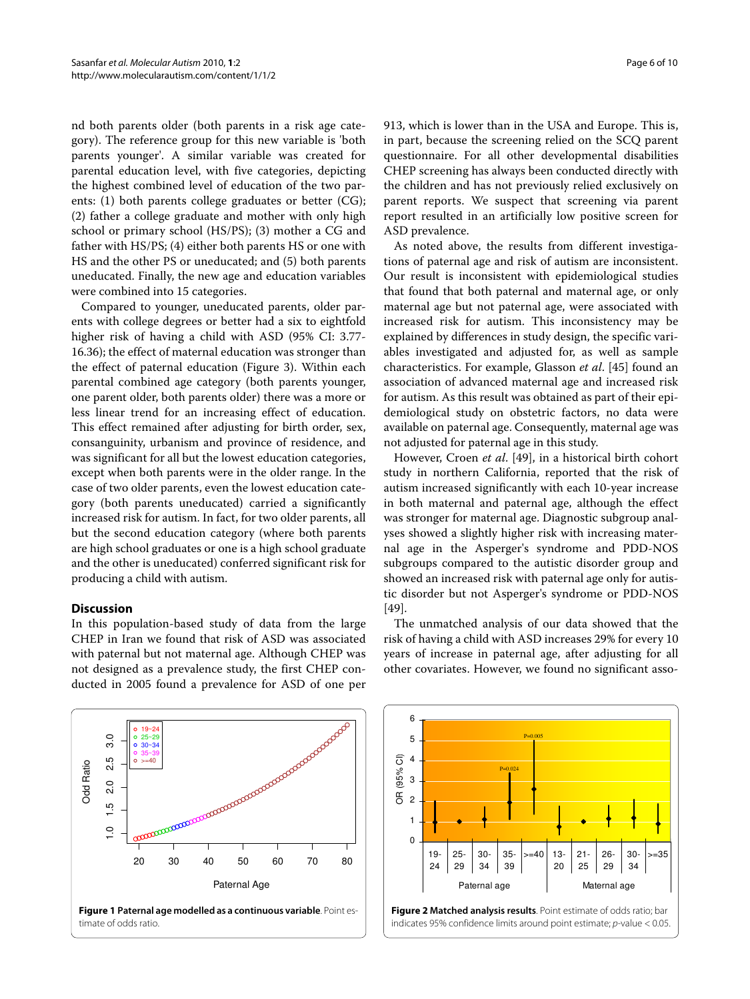nd both parents older (both parents in a risk age category). The reference group for this new variable is 'both parents younger'. A similar variable was created for parental education level, with five categories, depicting the highest combined level of education of the two parents: (1) both parents college graduates or better (CG); (2) father a college graduate and mother with only high school or primary school (HS/PS); (3) mother a CG and father with HS/PS; (4) either both parents HS or one with HS and the other PS or uneducated; and (5) both parents uneducated. Finally, the new age and education variables were combined into 15 categories.

Compared to younger, uneducated parents, older parents with college degrees or better had a six to eightfold higher risk of having a child with ASD (95% CI: 3.77- 16.36); the effect of maternal education was stronger than the effect of paternal education (Figure [3](#page-6-0)). Within each parental combined age category (both parents younger, one parent older, both parents older) there was a more or less linear trend for an increasing effect of education. This effect remained after adjusting for birth order, sex, consanguinity, urbanism and province of residence, and was significant for all but the lowest education categories, except when both parents were in the older range. In the case of two older parents, even the lowest education category (both parents uneducated) carried a significantly increased risk for autism. In fact, for two older parents, all but the second education category (where both parents are high school graduates or one is a high school graduate and the other is uneducated) conferred significant risk for producing a child with autism.

#### **Discussion**

In this population-based study of data from the large CHEP in Iran we found that risk of ASD was associated with paternal but not maternal age. Although CHEP was not designed as a prevalence study, the first CHEP conducted in 2005 found a prevalence for ASD of one per Page 6 of 10

913, which is lower than in the USA and Europe. This is, in part, because the screening relied on the SCQ parent questionnaire. For all other developmental disabilities CHEP screening has always been conducted directly with the children and has not previously relied exclusively on parent reports. We suspect that screening via parent report resulted in an artificially low positive screen for ASD prevalence.

As noted above, the results from different investigations of paternal age and risk of autism are inconsistent. Our result is inconsistent with epidemiological studies that found that both paternal and maternal age, or only maternal age but not paternal age, were associated with increased risk for autism. This inconsistency may be explained by differences in study design, the specific variables investigated and adjusted for, as well as sample characteristics. For example, Glasson *et al*. [\[45\]](#page-9-13) found an association of advanced maternal age and increased risk for autism. As this result was obtained as part of their epidemiological study on obstetric factors, no data were available on paternal age. Consequently, maternal age was not adjusted for paternal age in this study.

However, Croen *et al*. [[49\]](#page-9-22), in a historical birth cohort study in northern California, reported that the risk of autism increased significantly with each 10-year increase in both maternal and paternal age, although the effect was stronger for maternal age. Diagnostic subgroup analyses showed a slightly higher risk with increasing maternal age in the Asperger's syndrome and PDD-NOS subgroups compared to the autistic disorder group and showed an increased risk with paternal age only for autistic disorder but not Asperger's syndrome or PDD-NOS [[49\]](#page-9-22).

The unmatched analysis of our data showed that the risk of having a child with ASD increases 29% for every 10 years of increase in paternal age, after adjusting for all other covariates. However, we found no significant asso-

<span id="page-5-0"></span>

<span id="page-5-1"></span>

**Figure 2 Matched analysis results**. Point estimate of odds ratio; bar indicates 95% confidence limits around point estimate; p-value < 0.05.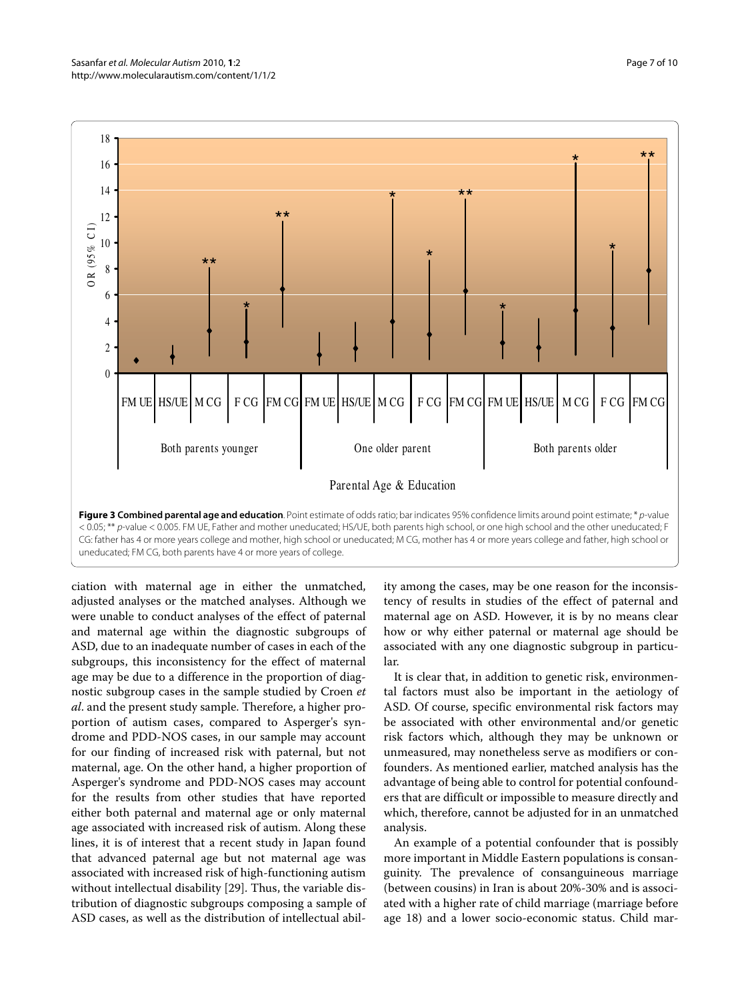<span id="page-6-0"></span>

ciation with maternal age in either the unmatched, adjusted analyses or the matched analyses. Although we were unable to conduct analyses of the effect of paternal and maternal age within the diagnostic subgroups of ASD, due to an inadequate number of cases in each of the subgroups, this inconsistency for the effect of maternal age may be due to a difference in the proportion of diagnostic subgroup cases in the sample studied by Croen *et al*. and the present study sample. Therefore, a higher proportion of autism cases, compared to Asperger's syndrome and PDD-NOS cases, in our sample may account for our finding of increased risk with paternal, but not maternal, age. On the other hand, a higher proportion of Asperger's syndrome and PDD-NOS cases may account for the results from other studies that have reported either both paternal and maternal age or only maternal age associated with increased risk of autism. Along these lines, it is of interest that a recent study in Japan found that advanced paternal age but not maternal age was associated with increased risk of high-functioning autism without intellectual disability [\[29](#page-8-24)]. Thus, the variable distribution of diagnostic subgroups composing a sample of ASD cases, as well as the distribution of intellectual ability among the cases, may be one reason for the inconsistency of results in studies of the effect of paternal and maternal age on ASD. However, it is by no means clear how or why either paternal or maternal age should be associated with any one diagnostic subgroup in particular.

It is clear that, in addition to genetic risk, environmental factors must also be important in the aetiology of ASD. Of course, specific environmental risk factors may be associated with other environmental and/or genetic risk factors which, although they may be unknown or unmeasured, may nonetheless serve as modifiers or confounders. As mentioned earlier, matched analysis has the advantage of being able to control for potential confounders that are difficult or impossible to measure directly and which, therefore, cannot be adjusted for in an unmatched analysis.

An example of a potential confounder that is possibly more important in Middle Eastern populations is consanguinity. The prevalence of consanguineous marriage (between cousins) in Iran is about 20%-30% and is associated with a higher rate of child marriage (marriage before age 18) and a lower socio-economic status. Child mar-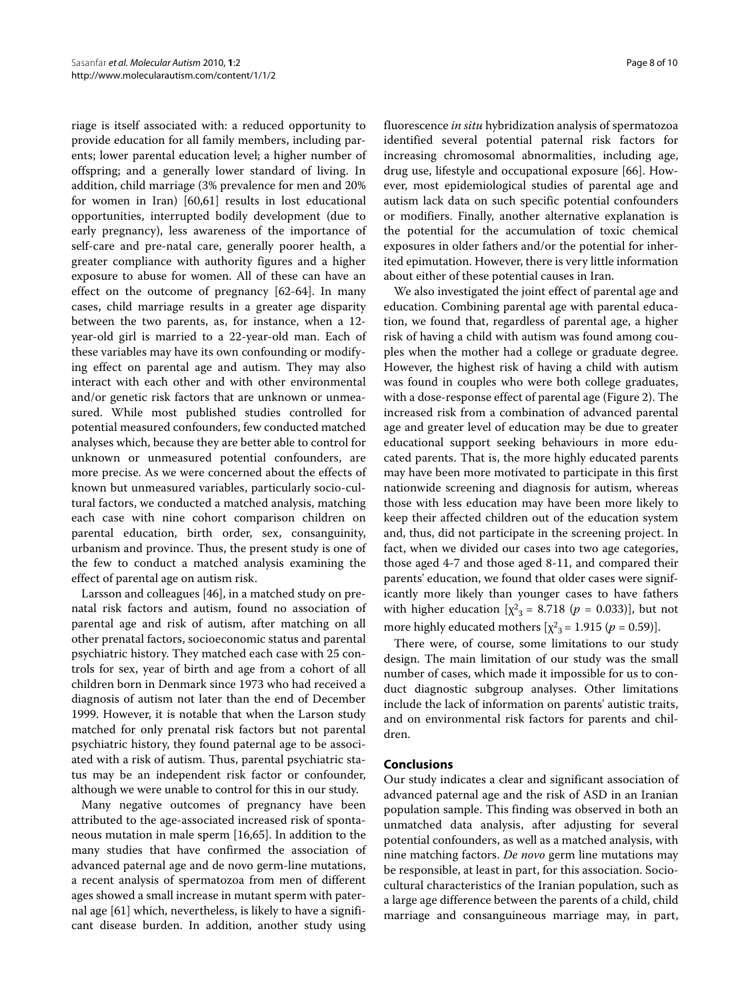riage is itself associated with: a reduced opportunity to provide education for all family members, including parents; lower parental education level; a higher number of offspring; and a generally lower standard of living. In addition, child marriage (3% prevalence for men and 20% for women in Iran) [[60,](#page-9-23)[61\]](#page-9-24) results in lost educational opportunities, interrupted bodily development (due to early pregnancy), less awareness of the importance of self-care and pre-natal care, generally poorer health, a greater compliance with authority figures and a higher exposure to abuse for women. All of these can have an effect on the outcome of pregnancy [\[62-](#page-9-25)[64](#page-9-26)]. In many cases, child marriage results in a greater age disparity between the two parents, as, for instance, when a 12 year-old girl is married to a 22-year-old man. Each of these variables may have its own confounding or modifying effect on parental age and autism. They may also interact with each other and with other environmental and/or genetic risk factors that are unknown or unmeasured. While most published studies controlled for potential measured confounders, few conducted matched analyses which, because they are better able to control for unknown or unmeasured potential confounders, are more precise. As we were concerned about the effects of known but unmeasured variables, particularly socio-cultural factors, we conducted a matched analysis, matching each case with nine cohort comparison children on parental education, birth order, sex, consanguinity, urbanism and province. Thus, the present study is one of the few to conduct a matched analysis examining the effect of parental age on autism risk.

Larsson and colleagues [[46\]](#page-9-11), in a matched study on prenatal risk factors and autism, found no association of parental age and risk of autism, after matching on all other prenatal factors, socioeconomic status and parental psychiatric history. They matched each case with 25 controls for sex, year of birth and age from a cohort of all children born in Denmark since 1973 who had received a diagnosis of autism not later than the end of December 1999. However, it is notable that when the Larson study matched for only prenatal risk factors but not parental psychiatric history, they found paternal age to be associated with a risk of autism. Thus, parental psychiatric status may be an independent risk factor or confounder, although we were unable to control for this in our study.

Many negative outcomes of pregnancy have been attributed to the age-associated increased risk of spontaneous mutation in male sperm [\[16](#page-8-11),[65](#page-9-27)]. In addition to the many studies that have confirmed the association of advanced paternal age and de novo germ-line mutations, a recent analysis of spermatozoa from men of different ages showed a small increase in mutant sperm with paternal age [[61](#page-9-24)] which, nevertheless, is likely to have a significant disease burden. In addition, another study using

fluorescence *in situ* hybridization analysis of spermatozoa identified several potential paternal risk factors for increasing chromosomal abnormalities, including age, drug use, lifestyle and occupational exposure [\[66\]](#page-9-28). However, most epidemiological studies of parental age and autism lack data on such specific potential confounders or modifiers. Finally, another alternative explanation is the potential for the accumulation of toxic chemical exposures in older fathers and/or the potential for inherited epimutation. However, there is very little information about either of these potential causes in Iran.

We also investigated the joint effect of parental age and education. Combining parental age with parental education, we found that, regardless of parental age, a higher risk of having a child with autism was found among couples when the mother had a college or graduate degree. However, the highest risk of having a child with autism was found in couples who were both college graduates, with a dose-response effect of parental age (Figure [2\)](#page-5-1). The increased risk from a combination of advanced parental age and greater level of education may be due to greater educational support seeking behaviours in more educated parents. That is, the more highly educated parents may have been more motivated to participate in this first nationwide screening and diagnosis for autism, whereas those with less education may have been more likely to keep their affected children out of the education system and, thus, did not participate in the screening project. In fact, when we divided our cases into two age categories, those aged 4-7 and those aged 8-11, and compared their parents' education, we found that older cases were significantly more likely than younger cases to have fathers with higher education  $[\chi^2]_3 = 8.718$  ( $p = 0.033$ )], but not more highly educated mothers  $[\chi^2_{3} = 1.915 \; (p = 0.59)].$ 

There were, of course, some limitations to our study design. The main limitation of our study was the small number of cases, which made it impossible for us to conduct diagnostic subgroup analyses. Other limitations include the lack of information on parents' autistic traits, and on environmental risk factors for parents and children.

#### **Conclusions**

Our study indicates a clear and significant association of advanced paternal age and the risk of ASD in an Iranian population sample. This finding was observed in both an unmatched data analysis, after adjusting for several potential confounders, as well as a matched analysis, with nine matching factors. *De novo* germ line mutations may be responsible, at least in part, for this association. Sociocultural characteristics of the Iranian population, such as a large age difference between the parents of a child, child marriage and consanguineous marriage may, in part,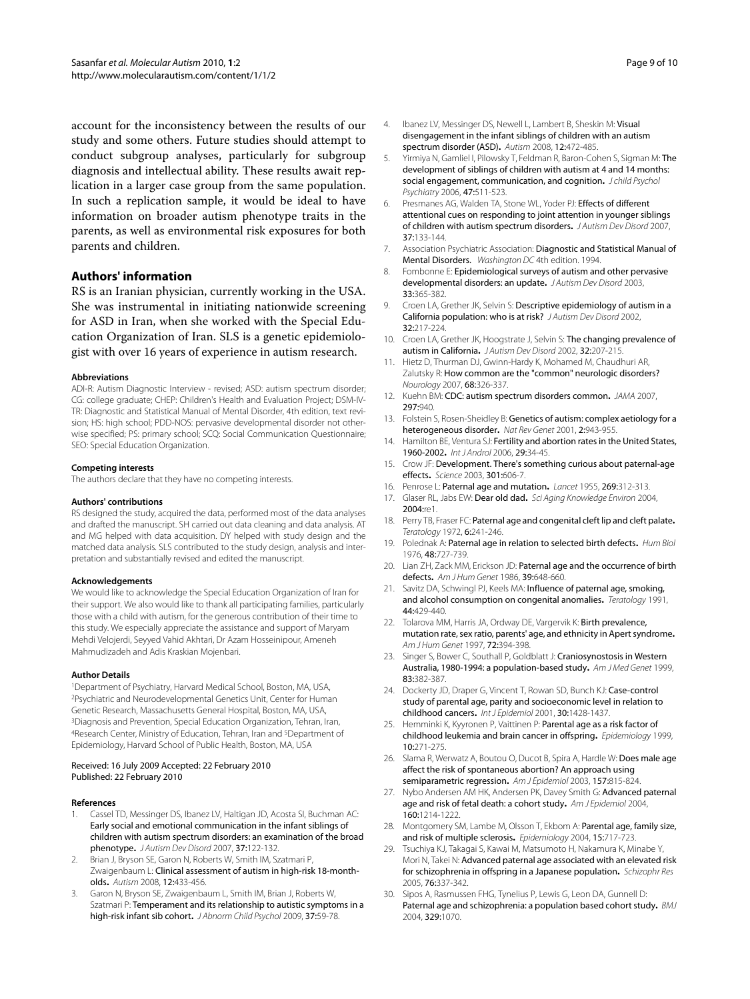account for the inconsistency between the results of our study and some others. Future studies should attempt to conduct subgroup analyses, particularly for subgroup diagnosis and intellectual ability. These results await replication in a larger case group from the same population. In such a replication sample, it would be ideal to have information on broader autism phenotype traits in the parents, as well as environmental risk exposures for both parents and children.

#### **Authors' information**

RS is an Iranian physician, currently working in the USA. She was instrumental in initiating nationwide screening for ASD in Iran, when she worked with the Special Education Organization of Iran. SLS is a genetic epidemiologist with over 16 years of experience in autism research.

#### **Abbreviations**

ADI-R: Autism Diagnostic Interview - revised; ASD: autism spectrum disorder; CG: college graduate; CHEP: Children's Health and Evaluation Project; DSM-IV-TR: Diagnostic and Statistical Manual of Mental Disorder, 4th edition, text revision; HS: high school; PDD-NOS: pervasive developmental disorder not otherwise specified; PS: primary school; SCQ: Social Communication Questionnaire; SEO: Special Education Organization.

#### **Competing interests**

The authors declare that they have no competing interests.

#### **Authors' contributions**

RS designed the study, acquired the data, performed most of the data analyses and drafted the manuscript. SH carried out data cleaning and data analysis. AT and MG helped with data acquisition. DY helped with study design and the matched data analysis. SLS contributed to the study design, analysis and interpretation and substantially revised and edited the manuscript.

#### **Acknowledgements**

We would like to acknowledge the Special Education Organization of Iran for their support. We also would like to thank all participating families, particularly those with a child with autism, for the generous contribution of their time to this study. We especially appreciate the assistance and support of Maryam Mehdi Velojerdi, Seyyed Vahid Akhtari, Dr Azam Hosseinipour, Ameneh Mahmudizadeh and Adis Kraskian Mojenbari.

#### **Author Details**

1Department of Psychiatry, Harvard Medical School, Boston, MA, USA, 2Psychiatric and Neurodevelopmental Genetics Unit, Center for Human Genetic Research, Massachusetts General Hospital, Boston, MA, USA, 3Diagnosis and Prevention, Special Education Organization, Tehran, Iran, 4Research Center, Ministry of Education, Tehran, Iran and 5Department of Epidemiology, Harvard School of Public Health, Boston, MA, USA

#### Received: 16 July 2009 Accepted: 22 February 2010 Published: 22 February 2010

#### **References**

- <span id="page-8-0"></span>1. Cassel TD, Messinger DS, Ibanez LV, Haltigan JD, Acosta SI, Buchman AC: Early social and emotional communication in the infant siblings of children with autism spectrum disorders: an examination of the broad phenotype**.** J Autism Dev Disord 2007, 37:122-132.
- 2. Brian J, Bryson SE, Garon N, Roberts W, Smith IM, Szatmari P, Zwaigenbaum L: Clinical assessment of autism in high-risk 18-montholds**.** Autism 2008, 12:433-456.
- 3. Garon N, Bryson SE, Zwaigenbaum L, Smith IM, Brian J, Roberts W, Szatmari P: Temperament and its relationship to autistic symptoms in a high-risk infant sib cohort**.** J Abnorm Child Psychol 2009, 37:59-78.
- 4. Ibanez LV, Messinger DS, Newell L, Lambert B, Sheskin M: Visual disengagement in the infant siblings of children with an autism spectrum disorder (ASD)**.** Autism 2008, 12:472-485.
- 5. Yirmiya N, Gamliel I, Pilowsky T, Feldman R, Baron-Cohen S, Sigman M: The development of siblings of children with autism at 4 and 14 months: social engagement, communication, and cognition**[.](http://www.ncbi.nlm.nih.gov/entrez/query.fcgi?cmd=Retrieve&db=PubMed&dopt=Abstract&list_uids=16671934)** J child Psychol Psychiatry 2006, 47:511-523.
- <span id="page-8-1"></span>Presmanes AG, Walden TA, Stone WL, Yoder PJ: Effects of different attentional cues on responding to joint attention in younger siblings of children with autism spectrum disorders**.** J Autism Dev Disord 2007, 37:133-144.
- <span id="page-8-2"></span>7. Association Psychiatric Association: Diagnostic and Statistical Manual of Mental Disorders. Washington DC 4th edition. 1994.
- <span id="page-8-3"></span>8. Fombonne E: Epidemiological surveys of autism and other pervasive developmental disorders: an update**[.](http://www.ncbi.nlm.nih.gov/entrez/query.fcgi?cmd=Retrieve&db=PubMed&dopt=Abstract&list_uids=12959416)** J Autism Dev Disord 2003, 33:365-382.
- <span id="page-8-4"></span>9. Croen LA, Grether JK, Selvin S: Descriptive epidemiology of autism in a California population: who is at risk? J Autism Dev Disord 2002, 32:217-224.
- <span id="page-8-5"></span>10. Croen LA, Grether JK, Hoogstrate J, Selvin S: The changing prevalence of autism in California**.** J Autism Dev Disord 2002, 32:207-215.
- <span id="page-8-6"></span>11. Hietz D, Thurman DJ, Gwinn-Hardy K, Mohamed M, Chaudhuri AR, Zalutsky R: How common are the "common" neurologic disorders? Nourology 2007, 68:326-337.
- <span id="page-8-7"></span>12. Kuehn BM: CDC: autism spectrum disorders common**.** JAMA 2007, 297:940.
- <span id="page-8-8"></span>13. Folstein S, Rosen-Sheidley B: Genetics of autism: complex aetiology for a heterogeneous disorder**.** Nat Rev Genet 2001, 2:943-955.
- <span id="page-8-9"></span>14. Hamilton BE, Ventura SJ: Fertility and abortion rates in the United States, 1960-2002**.** Int J Androl 2006, 29:34-45.
- <span id="page-8-10"></span>15. Crow JF: Development. There's something curious about paternal-age effects**[.](http://www.ncbi.nlm.nih.gov/entrez/query.fcgi?cmd=Retrieve&db=PubMed&dopt=Abstract&list_uids=12893932)** Science 2003, 301:606-7.
- <span id="page-8-11"></span>16. Penrose L: Paternal age and mutation**.** Lancet 1955, 269:312-313.
- <span id="page-8-12"></span>17. Glaser RL, Jabs EW: Dear old dad**.** Sci Aging Knowledge Environ 2004, 2004:re1.
- <span id="page-8-13"></span>18. Perry TB, Fraser FC: Paternal age and congenital cleft lip and cleft palate**.** Teratology 1972, 6:241-246.
- <span id="page-8-14"></span>19. Polednak A: Paternal age in relation to selected birth defects**.** Hum Biol 1976, 48:727-739.
- <span id="page-8-15"></span>20. Lian ZH, Zack MM, Erickson JD: Paternal age and the occurrence of birth defects**[.](http://www.ncbi.nlm.nih.gov/entrez/query.fcgi?cmd=Retrieve&db=PubMed&dopt=Abstract&list_uids=3788977)** Am J Hum Genet 1986, 39:648-660.
- <span id="page-8-16"></span>21. Savitz DA, Schwingl PJ, Keels MA: Influence of paternal age, smoking, and alcohol consumption on congenital anomalies**.** Teratology 1991, 44:429-440.
- <span id="page-8-17"></span>22. Tolarova MM, Harris JA, Ordway DE, Vargervik K: Birth prevalence, mutation rate, sex ratio, parents' age, and ethnicity in Apert syndrome**.** Am J Hum Genet 1997, 72:394-398.
- <span id="page-8-18"></span>23. Singer S, Bower C, Southall P, Goldblatt J: Craniosynostosis in Western Australia, 1980-1994: a population-based study**.** Am J Med Genet 1999, 83:382-387.
- <span id="page-8-19"></span>24. Dockerty JD, Draper G, Vincent T, Rowan SD, Bunch KJ: Case-control study of parental age, parity and socioeconomic level in relation to childhood cancers**.** Int J Epidemiol 2001, 30:1428-1437.
- <span id="page-8-20"></span>25. Hemminki K, Kyyronen P, Vaittinen P: Parental age as a risk factor of childhood leukemia and brain cancer in offspring**.** Epidemiology 1999, 10:271-275.
- <span id="page-8-21"></span>26. Slama R, Werwatz A, Boutou O, Ducot B, Spira A, Hardle W: Does male age affect the risk of spontaneous abortion? An approach using semiparametric regression**[.](http://www.ncbi.nlm.nih.gov/entrez/query.fcgi?cmd=Retrieve&db=PubMed&dopt=Abstract&list_uids=12727675)** Am J Epidemiol 2003, 157:815-824.
- <span id="page-8-22"></span>27. Nybo Andersen AM HK, Andersen PK, Davey Smith G: Advanced paternal age and risk of fetal death: a cohort study**.** Am J Epidemiol 2004, 160:1214-1222.
- <span id="page-8-23"></span>28. Montgomery SM, Lambe M, Olsson T, Ekbom A: Parental age, family size, and risk of multiple sclerosis**.** Epidemiology 2004, 15:717-723.
- <span id="page-8-24"></span>29. Tsuchiya KJ, Takagai S, Kawai M, Matsumoto H, Nakamura K, Minabe Y, Mori N, Takei N: Advanced paternal age associated with an elevated risk for schizophrenia in offspring in a Japanese population**.** Schizophr Res 2005, 76:337-342.
- 30. Sipos A, Rasmussen FHG, Tynelius P, Lewis G, Leon DA, Gunnell D: Paternal age and schizophrenia: a population based cohort study**[.](http://www.ncbi.nlm.nih.gov/entrez/query.fcgi?cmd=Retrieve&db=PubMed&dopt=Abstract&list_uids=15501901)** BMJ 2004, 329:1070.